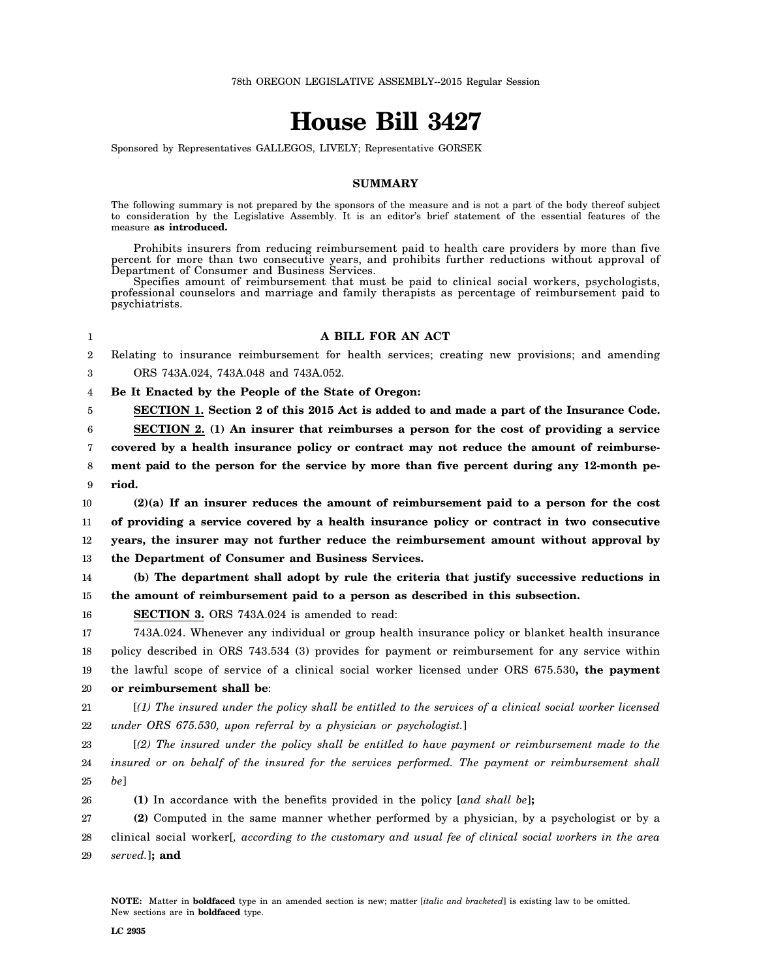## **House Bill 3427**

Sponsored by Representatives GALLEGOS, LIVELY; Representative GORSEK

## **SUMMARY**

The following summary is not prepared by the sponsors of the measure and is not a part of the body thereof subject to consideration by the Legislative Assembly. It is an editor's brief statement of the essential features of the measure **as introduced.**

Prohibits insurers from reducing reimbursement paid to health care providers by more than five percent for more than two consecutive years, and prohibits further reductions without approval of Department of Consumer and Business Services.

Specifies amount of reimbursement that must be paid to clinical social workers, psychologists, professional counselors and marriage and family therapists as percentage of reimbursement paid to psychiatrists.

## **A BILL FOR AN ACT**

2 Relating to insurance reimbursement for health services; creating new provisions; and amending

3 ORS 743A.024, 743A.048 and 743A.052.

1

4 **Be It Enacted by the People of the State of Oregon:**

5 **SECTION 1. Section 2 of this 2015 Act is added to and made a part of the Insurance Code.**

6 7 8 9 **SECTION 2. (1) An insurer that reimburses a person for the cost of providing a service covered by a health insurance policy or contract may not reduce the amount of reimbursement paid to the person for the service by more than five percent during any 12-month period.**

10 11 12 13 **(2)(a) If an insurer reduces the amount of reimbursement paid to a person for the cost of providing a service covered by a health insurance policy or contract in two consecutive years, the insurer may not further reduce the reimbursement amount without approval by the Department of Consumer and Business Services.**

14 15 **(b) The department shall adopt by rule the criteria that justify successive reductions in the amount of reimbursement paid to a person as described in this subsection.**

16 **SECTION 3.** ORS 743A.024 is amended to read:

17 18 19 20 743A.024. Whenever any individual or group health insurance policy or blanket health insurance policy described in ORS 743.534 (3) provides for payment or reimbursement for any service within the lawful scope of service of a clinical social worker licensed under ORS 675.530**, the payment or reimbursement shall be**:

21 22 [*(1) The insured under the policy shall be entitled to the services of a clinical social worker licensed under ORS 675.530, upon referral by a physician or psychologist.*]

23 24 25 [*(2) The insured under the policy shall be entitled to have payment or reimbursement made to the insured or on behalf of the insured for the services performed. The payment or reimbursement shall be*]

26 **(1)** In accordance with the benefits provided in the policy [*and shall be*]**;**

27 28 **(2)** Computed in the same manner whether performed by a physician, by a psychologist or by a clinical social worker[*, according to the customary and usual fee of clinical social workers in the area*

29 *served.*]**; and**